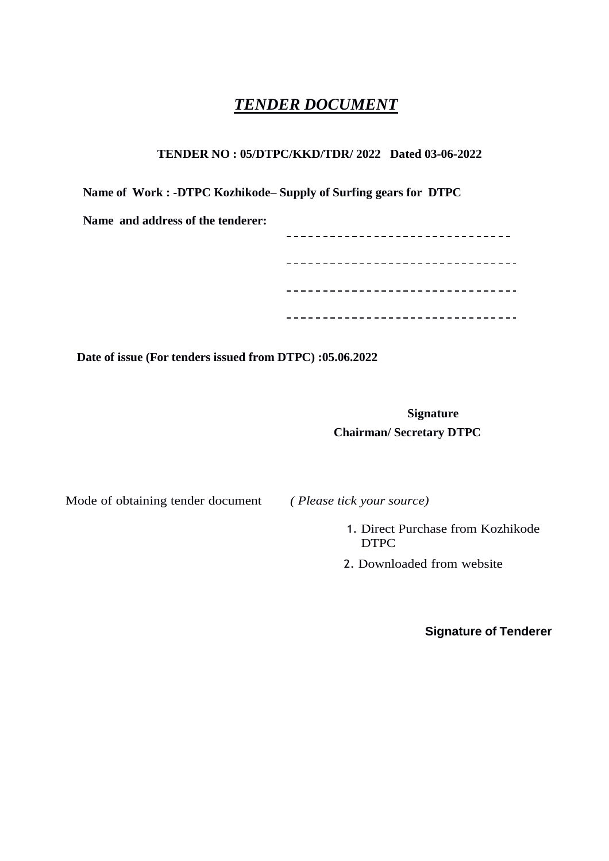# *TENDER DOCUMENT*

## **TENDER NO : 05/DTPC/KKD/TDR/ 2022 Dated 03-06-2022**

**Name of Work : -DTPC Kozhikode– Supply of Surfing gears for DTPC**

|  |  |  |  | Name and address of the tenderer: |
|--|--|--|--|-----------------------------------|
|--|--|--|--|-----------------------------------|

| -----         |  |
|---------------|--|
| - - - - - - - |  |
|               |  |
|               |  |

**Date of issue (For tenders issued from DTPC) :05.06.2022**

**Signature Chairman/ Secretary DTPC**

Mode of obtaining tender document *( Please tick your source)*

- 1. Direct Purchase from Kozhikode DTPC
- 2. Downloaded from website

**Signature of Tenderer**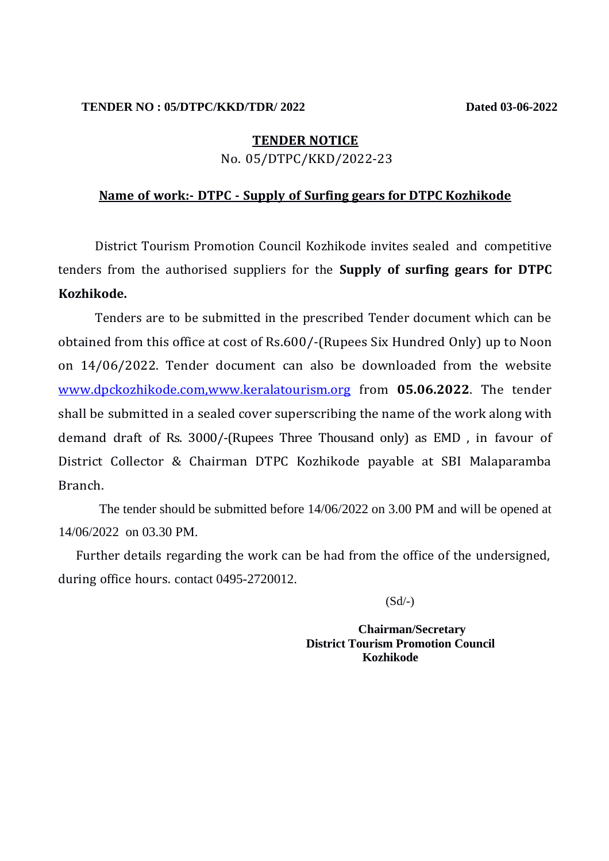#### **TENDER NO : 05/DTPC/KKD/TDR/ 2022 Dated 03-06-2022**

#### **TENDER NOTICE**

No. 05/DTPC/KKD/2022-23

## **Name of work:- DTPC - Supply of Surfing gears for DTPC Kozhikode**

District Tourism Promotion Council Kozhikode invites sealed and competitive tenders from the authorised suppliers for the **Supply of surfing gears for DTPC Kozhikode.**

Tenders are to be submitted in the prescribed Tender document which can be obtained from this office at cost of Rs.600/-(Rupees Six Hundred Only) up to Noon on 14/06/2022. Tender document can also be downloaded from the website www.dpckozhikode.com,www.keralatourism.org from **05.06.2022**. The tender shall be submitted in a sealed cover superscribing the name of the work along with demand draft of Rs. 3000/-(Rupees Three Thousand only) as EMD , in favour of District Collector & Chairman DTPC Kozhikode payable at SBI Malaparamba Branch.

The tender should be submitted before 14/06/2022 on 3.00 PM and will be opened at 14/06/2022 on 03.30 PM.

Further details regarding the work can be had from the office of the undersigned, during office hours. contact 0495-2720012.

 $(Sd/-)$ 

 **Chairman/Secretary District Tourism Promotion Council Kozhikode**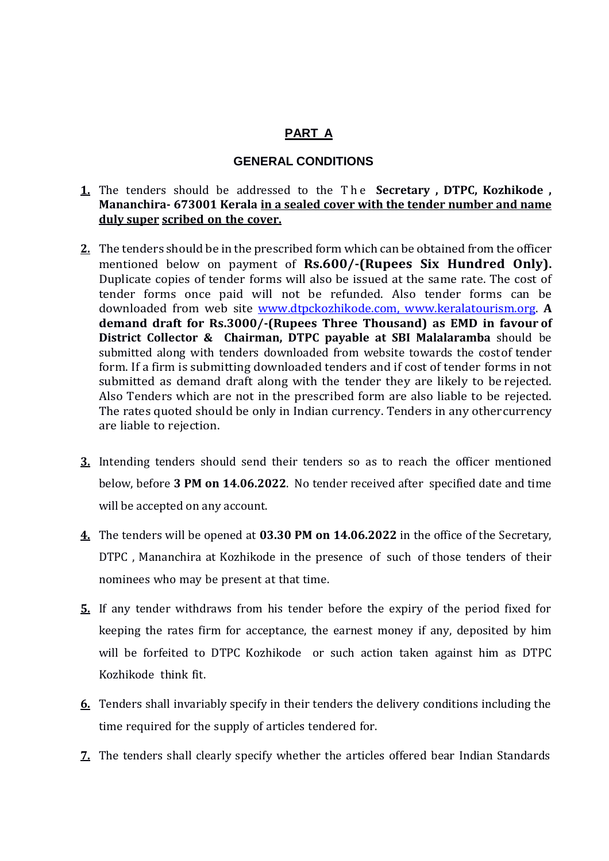## **PART A**

#### **GENERAL CONDITIONS**

- **1.** The tenders should be addressed to the T h e **Secretary , DTPC, Kozhikode , Mananchira- 673001 Kerala in a sealed cover with the tender number and name duly super scribed on the cover.**
- **2.** The tenders should be in the prescribed form which can be obtained from the officer mentioned below on payment of **Rs.600/-(Rupees Six Hundred Only).** Duplicate copies of tender forms will also be issued at the same rate. The cost of tender forms once paid will not be refunded. Also tender forms can be downloaded from web site [www.dtpckozhikode.com,](http://www.dtpckozhikode.com/) www.keralatourism.org. **A demand draft for Rs.3000/-(Rupees Three Thousand) as EMD in favour of District Collector & Chairman, DTPC payable at SBI Malalaramba** should be submitted along with tenders downloaded from website towards the costof tender form. If a firm is submitting downloaded tenders and if cost of tender forms in not submitted as demand draft along with the tender they are likely to be rejected. Also Tenders which are not in the prescribed form are also liable to be rejected. The rates quoted should be only in Indian currency. Tenders in any othercurrency are liable to rejection.
- **3.** Intending tenders should send their tenders so as to reach the officer mentioned below, before **3 PM on 14.06.2022**. No tender received after specified date and time will be accepted on any account.
- **4.** The tenders will be opened at **03.30 PM on 14.06.2022** in the office of the Secretary, DTPC , Mananchira at Kozhikode in the presence of such of those tenders of their nominees who may be present at that time.
- **5.** If any tender withdraws from his tender before the expiry of the period fixed for keeping the rates firm for acceptance, the earnest money if any, deposited by him will be forfeited to DTPC Kozhikode or such action taken against him as DTPC Kozhikode think fit.
- **6.** Tenders shall invariably specify in their tenders the delivery conditions including the time required for the supply of articles tendered for.
- **7.** The tenders shall clearly specify whether the articles offered bear Indian Standards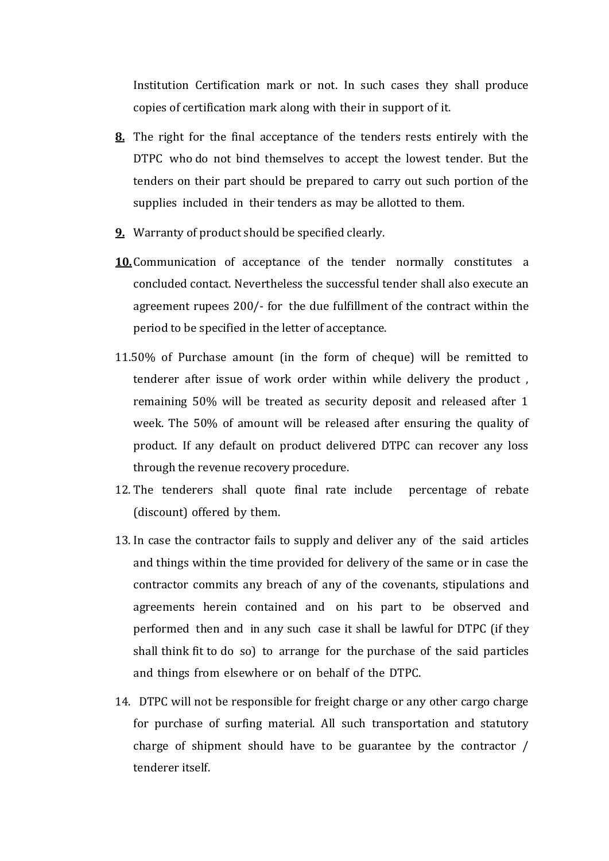Institution Certification mark or not. In such cases they shall produce copies of certification mark along with their in support of it.

- **8.** The right for the final acceptance of the tenders rests entirely with the DTPC who do not bind themselves to accept the lowest tender. But the tenders on their part should be prepared to carry out such portion of the supplies included in their tenders as may be allotted to them.
- **9.** Warranty of product should be specified clearly.
- **10.**Communication of acceptance of the tender normally constitutes a concluded contact. Nevertheless the successful tender shall also execute an agreement rupees 200/- for the due fulfillment of the contract within the period to be specified in the letter of acceptance.
- 11.50% of Purchase amount (in the form of cheque) will be remitted to tenderer after issue of work order within while delivery the product , remaining 50% will be treated as security deposit and released after 1 week. The 50% of amount will be released after ensuring the quality of product. If any default on product delivered DTPC can recover any loss through the revenue recovery procedure.
- 12. The tenderers shall quote final rate include percentage of rebate (discount) offered by them.
- 13. In case the contractor fails to supply and deliver any of the said articles and things within the time provided for delivery of the same or in case the contractor commits any breach of any of the covenants, stipulations and agreements herein contained and on his part to be observed and performed then and in any such case it shall be lawful for DTPC (if they shall think fit to do so) to arrange for the purchase of the said particles and things from elsewhere or on behalf of the DTPC.
- 14. DTPC will not be responsible for freight charge or any other cargo charge for purchase of surfing material. All such transportation and statutory charge of shipment should have to be guarantee by the contractor / tenderer itself.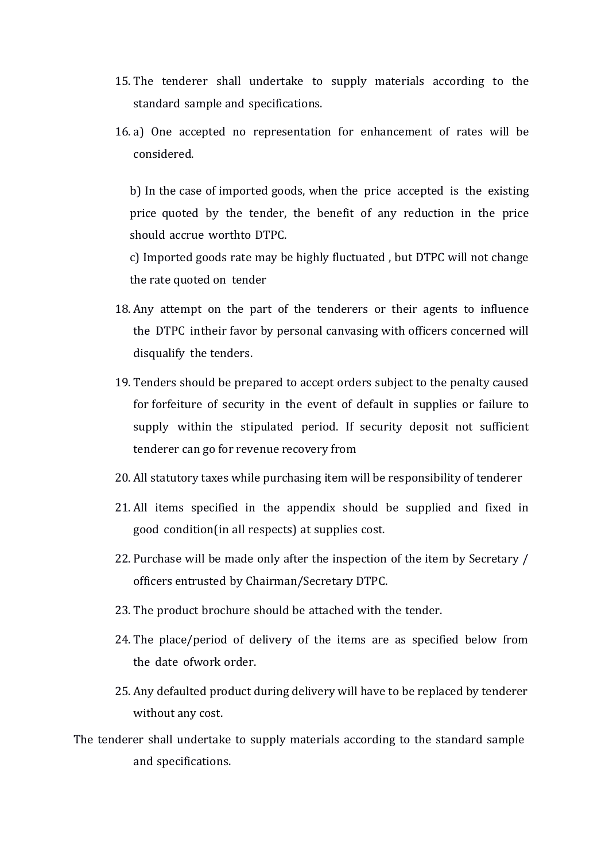- 15. The tenderer shall undertake to supply materials according to the standard sample and specifications.
- 16. a) One accepted no representation for enhancement of rates will be considered.

b) In the case of imported goods, when the price accepted is the existing price quoted by the tender, the benefit of any reduction in the price should accrue worthto DTPC.

c) Imported goods rate may be highly fluctuated , but DTPC will not change the rate quoted on tender

- 18. Any attempt on the part of the tenderers or their agents to influence the DTPC intheir favor by personal canvasing with officers concerned will disqualify the tenders.
- 19. Tenders should be prepared to accept orders subject to the penalty caused for forfeiture of security in the event of default in supplies or failure to supply within the stipulated period. If security deposit not sufficient tenderer can go for revenue recovery from
- 20. All statutory taxes while purchasing item will be responsibility of tenderer
- 21. All items specified in the appendix should be supplied and fixed in good condition(in all respects) at supplies cost.
- 22. Purchase will be made only after the inspection of the item by Secretary / officers entrusted by Chairman/Secretary DTPC.
- 23. The product brochure should be attached with the tender.
- 24. The place/period of delivery of the items are as specified below from the date ofwork order.
- 25. Any defaulted product during delivery will have to be replaced by tenderer without any cost.

The tenderer shall undertake to supply materials according to the standard sample and specifications.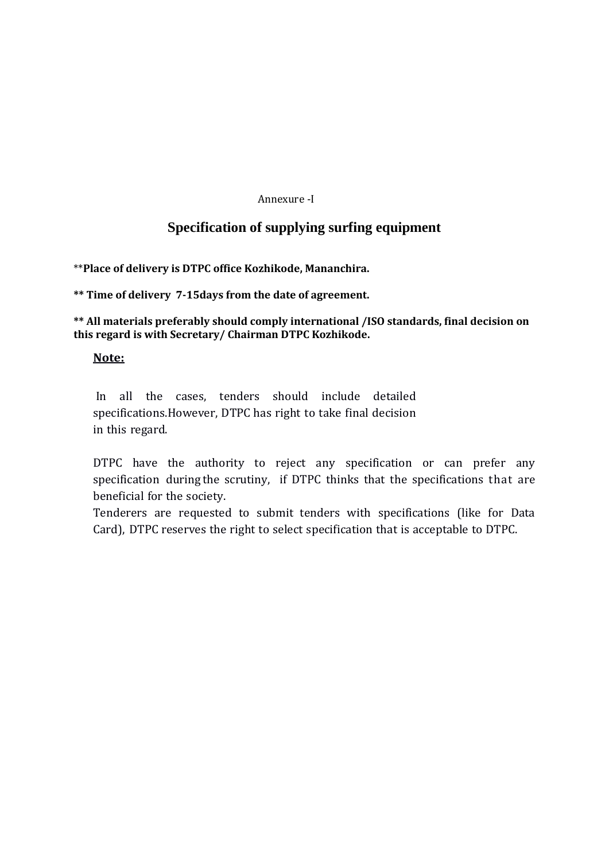#### Annexure -I

## **Specification of supplying surfing equipment**

\*\***Place of delivery is DTPC office Kozhikode, Mananchira.**

**\*\* Time of delivery 7-15days from the date of agreement.**

**\*\* All materials preferably should comply international /ISO standards, final decision on this regard is with Secretary/ Chairman DTPC Kozhikode.**

## **Note:**

In all the cases, tenders should include detailed specifications.However, DTPC has right to take final decision in this regard.

DTPC have the authority to reject any specification or can prefer any specification during the scrutiny, if DTPC thinks that the specifications that are beneficial for the society.

Tenderers are requested to submit tenders with specifications (like for Data Card), DTPC reserves the right to select specification that is acceptable to DTPC.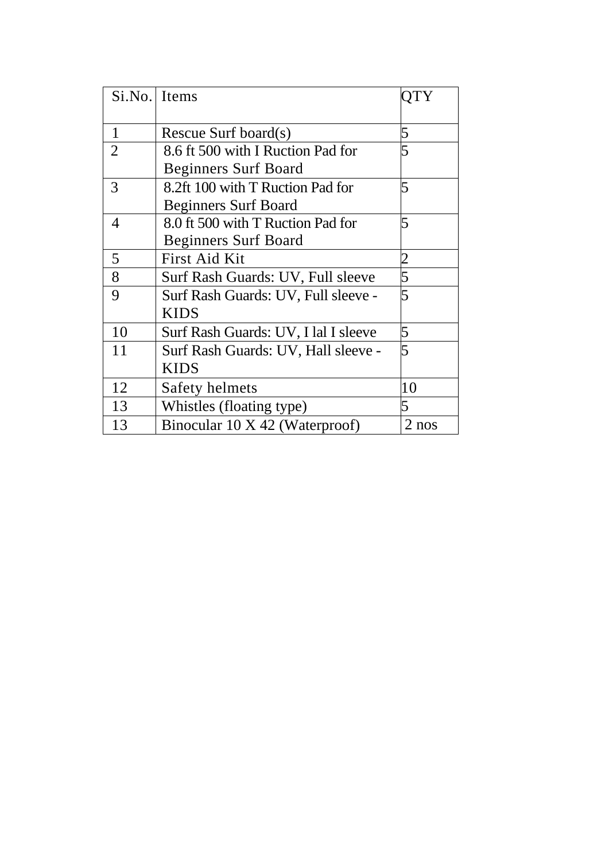| Si.No. Items   |                                      |       |
|----------------|--------------------------------------|-------|
|                |                                      |       |
|                |                                      |       |
| 1              | Rescue Surf board(s)                 | 5     |
| $\overline{2}$ | 8.6 ft 500 with I Ruction Pad for    | 5     |
|                | <b>Beginners Surf Board</b>          |       |
| 3              | 8.2ft 100 with T Ruction Pad for     | 5     |
|                | <b>Beginners Surf Board</b>          |       |
| 4              | 8.0 ft 500 with T Ruction Pad for    | 5     |
|                | <b>Beginners Surf Board</b>          |       |
| 5              | First Aid Kit                        |       |
| 8              | Surf Rash Guards: UV, Full sleeve    | 5     |
| 9              | Surf Rash Guards: UV, Full sleeve -  | 5     |
|                | <b>KIDS</b>                          |       |
| 10             | Surf Rash Guards: UV, I lal I sleeve | 5     |
| 11             | Surf Rash Guards: UV, Hall sleeve -  | 5     |
|                | <b>KIDS</b>                          |       |
| 12             | Safety helmets                       | 10    |
| 13             | Whistles (floating type)             | 5     |
| 13             | Binocular 10 X 42 (Waterproof)       | 2 nos |